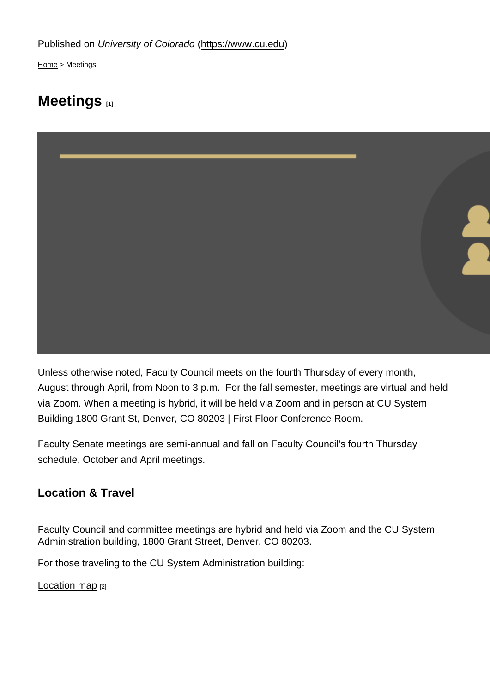[Home](https://www.cu.edu/) > Meetings

# [Meetings](https://www.cu.edu/faculty/faculty-council/meetings) [1]

Unless otherwise noted, Faculty Council meets on the fourth Thursday of every month, August through April, from Noon to 3 p.m. For the fall semester, meetings are virtual and held via Zoom. When a meeting is hybrid, it will be held via Zoom and in person at CU System Building 1800 Grant St, Denver, CO 80203 | First Floor Conference Room.

Faculty Senate meetings are semi-annual and fall on Faculty Council's fourth Thursday schedule, October and April meetings.

Location & Travel

Faculty Council and committee meetings are hybrid and held via Zoom and the CU System Administration building, 1800 Grant Street, Denver, CO 80203.

For those traveling to the CU System Administration building:

[Location map](https://goo.gl/maps/XVvifgmdbcfg5DaL8) [2]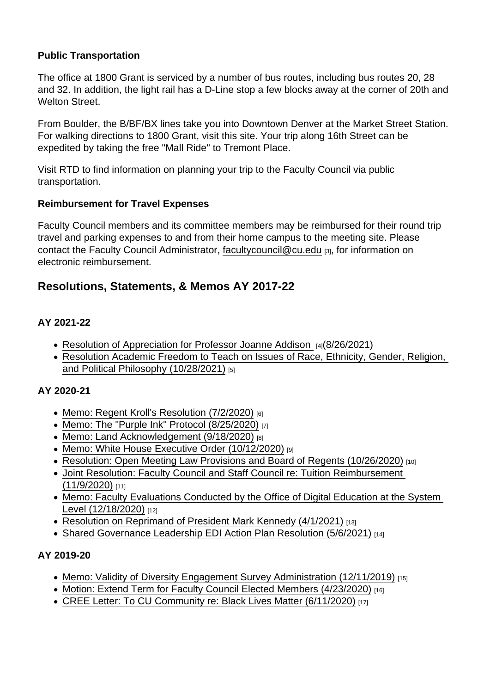## Public Transportation

The office at 1800 Grant is serviced by a number of bus routes, including bus routes 20, 28 and 32. In addition, the light rail has a D-Line stop a few blocks away at the corner of 20th and Welton Street.

From Boulder, the B/BF/BX lines take you into Downtown Denver at the Market Street Station. For walking directions to 1800 Grant, visit this site. Your trip along 16th Street can be expedited by taking the free "Mall Ride" to Tremont Place.

Visit RTD to find information on planning your trip to the Faculty Council via public transportation.

Reimbursement for Travel Expenses

Faculty Council members and its committee members may be reimbursed for their round trip travel and parking expenses to and from their home campus to the meeting site. Please contact the Faculty Council Administrator, [facultycouncil@cu.edu](mailto:facultycouncil@cu.edu) [3], for information on electronic reimbursement.

## Resolutions, Statements, & Memos AY 2017-22

## AY 2021-22

- [Resolution of Appreciation for Professor Joanne Addison](https://www.cu.edu/doc/fc-resolution-appreciation-joanne-addisonpdf) [4](8/26/2021)
- [Resolution Academic Freedom to Teach on Issues of Race, Ethnicity, Gender, Religion,](https://www.cu.edu/doc/fc-resolution-academic-freedomfinal5pdf)  [and Political Philosophy \(10/28/2021\)](https://www.cu.edu/doc/fc-resolution-academic-freedomfinal5pdf) [5]

## AY 2020-21

- [Memo: Regent Kroll's Resolution \(7/2/2020\)](https://www.cu.edu/doc/kroll-resolution-tt1pdf) [6]
- [Memo: The "Purple Ink" Protocol \(8/25/2020\)](https://www.cu.edu/doc/purple-ink-protocolpdf) [7]
- [Memo: Land Acknowledgement \(9/18/2020\)](https://www.cu.edu/doc/land-acknowledgment-fcpdf) [8]
- [Memo: White House Executive Order \(10/12/2020\)](https://www.cu.edu/doc/wh-exec-order-sept-22docx9pdf) [9]
- [Resolution: Open Meeting Law Provisions and Board of Regents \(10/26/2020\)](https://www.cu.edu/doc/open-meeting-resolution-final2pdf) [10]
- [Joint Resolution: Faculty Council and Staff Council re: Tuition Reimbursement](https://www.cu.edu/doc/final-fc-ucsc-joint-resolution-ja-fully-executedpdf)  [\(11/9/2020\)](https://www.cu.edu/doc/final-fc-ucsc-joint-resolution-ja-fully-executedpdf) [11]
- [Memo: Faculty Evaluations Conducted by the Office of Digital Education at the System](https://www.cu.edu/doc/faculty-evaluation-fc-finalpdf)  [Level \(12/18/2020\)](https://www.cu.edu/doc/faculty-evaluation-fc-finalpdf) [12]
- [Resolution on Reprimand of President Mark Kennedy \(4/1/2021\)](https://www.cu.edu/doc/fc-reprimand-final2pdf) [13]
- [Shared Governance Leadership EDI Action Plan Resolution \(5/6/2021\)](https://www.cu.edu/system/files/pages/1812-resolutions-memos-and-statements/docs/fc-edi-final_0.pdf) [14]

AY 2019-20

- Memo: Validity of Diversity Engagement Survey Administration  $(12/11/2019)$  [15]
- [Motion: Extend Term for Faculty Council Elected Members \(4/23/2020\)](https://www.cu.edu/doc/fc-motionextendterm-482020pdf) [16]
- [CREE Letter: To CU Community re: Black Lives Matter \(6/11/2020\)](https://www.cu.edu/doc/cree-blm-letterpdf) [17]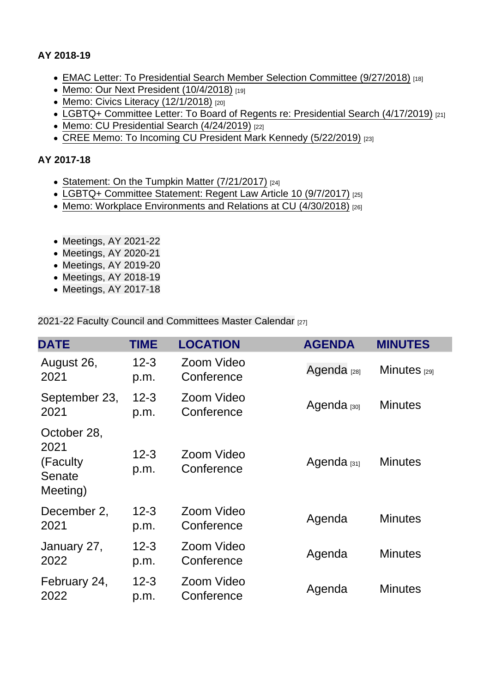AY 2018-19

- [EMAC Letter: To Presidential Search Member Selection Committee \(9/27/2018\)](https://www.cu.edu/doc/emac-support-cdo-presidential-search-committee-2018pdf) [18]
- [Memo: Our Next President \(10/4/2018\)](https://www.cu.edu/doc/our-next-presidentupdated-header-pg2pdf) [19]
- [Memo: Civics Literacy \(12/1/2018\)](https://www.cu.edu/doc/final-civics-fc-responsepdf) [20]
- [LGBTQ+ Committee Letter: To Board of Regents re: Presidential Search \(4/17/2019\)](https://www.cu.edu/doc/fc-lgbtq-statement-presidential-search-04172019pdf-1) [21]
- [Memo: CU Presidential Search \(4/24/2019\)](https://www.cu.edu/doc/fc-presidential-search-letter-final-04152019pdf-1) [22]
- [CREE Memo: To Incoming CU President Mark Kennedy \(5/22/2019\)](https://www.cu.edu/doc/memo-president-kennedypdf) [23]

#### AY 2017-18

- [Statement: On the Tumpkin Matter \(7/21/2017\)](https://www.cu.edu/doc/fcstatementtumpkin-matterpdf) [24]
- [LGBTQ+ Committee Statement: Regent Law Article 10 \(9/7/2017\)](https://www.cu.edu/doc/faculty-councillgbtq-statement09-06-2017pdf) [25]
- [Memo: Workplace Environments and Relations at CU \(4/30/2018\)](https://www.cu.edu/doc/fc-execworkplace-memoapril-2018finalpdf) [26]
- Meetings, AY 2021-22
- [Meetings, AY 2020-21](#page-3-0)
- [Meetings, AY 2019-20](#page-4-0)
- Meetings, AY 2018-19
- Meetings, AY 2017-18

[2021-22 Faculty Council and Committees Master Calendar](https://www.cu.edu/doc/faculty-council-master-schedule2020-21pdf-1) [27]

| <b>DATE</b>                                           | <b>TIME</b>      | <b>LOCATION</b>          | <b>AGENDA</b>          | <b>MINUTES</b> |
|-------------------------------------------------------|------------------|--------------------------|------------------------|----------------|
| August 26,<br>2021                                    | $12 - 3$<br>p.m. | Zoom Video<br>Conference | Agenda <sub>[28]</sub> | Minutes $1291$ |
| September 23,<br>2021                                 | $12 - 3$<br>p.m. | Zoom Video<br>Conference | Agenda [30]            | <b>Minutes</b> |
| October 28,<br>2021<br>(Faculty<br>Senate<br>Meeting) | $12 - 3$<br>p.m. | Zoom Video<br>Conference | Agenda $_{[31]}$       | <b>Minutes</b> |
| December 2,<br>2021                                   | $12 - 3$<br>p.m. | Zoom Video<br>Conference | Agenda                 | <b>Minutes</b> |
| January 27,<br>2022                                   | $12 - 3$<br>p.m. | Zoom Video<br>Conference | Agenda                 | <b>Minutes</b> |
| February 24,<br>2022                                  | $12 - 3$<br>p.m. | Zoom Video<br>Conference | Agenda                 | <b>Minutes</b> |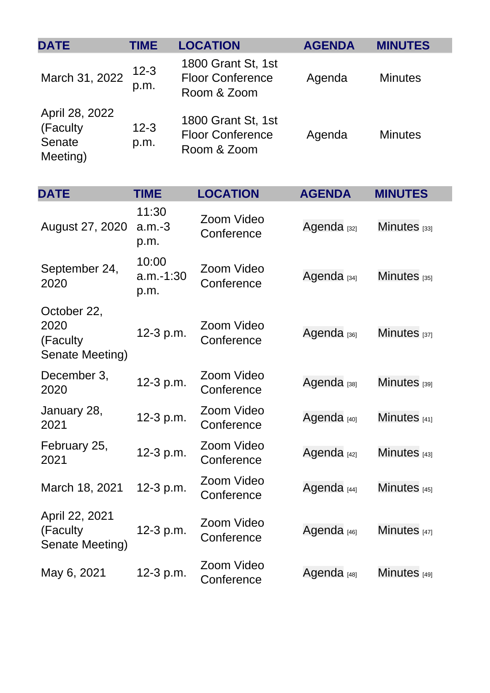<span id="page-3-0"></span>

| <b>DATE</b>                                         | <b>TIME</b>                  | <b>LOCATION</b>                                              | <b>AGENDA</b>          | <b>MINUTES</b>    |
|-----------------------------------------------------|------------------------------|--------------------------------------------------------------|------------------------|-------------------|
| March 31, 2022                                      | $12 - 3$<br>p.m.             | 1800 Grant St, 1st<br><b>Floor Conference</b><br>Room & Zoom | Agenda                 | <b>Minutes</b>    |
| April 28, 2022<br>(Faculty)<br>Senate<br>Meeting)   | $12 - 3$<br>p.m.             | 1800 Grant St, 1st<br><b>Floor Conference</b><br>Room & Zoom | Agenda                 | <b>Minutes</b>    |
| <b>DATE</b>                                         | <b>TIME</b>                  | <b>LOCATION</b>                                              | <b>AGENDA</b>          | <b>MINUTES</b>    |
| August 27, 2020                                     | 11:30<br>$a.m.-3$<br>p.m.    | Zoom Video<br>Conference                                     | Agenda <sub>[32]</sub> | Minutes $[33]$    |
| September 24,<br>2020                               | 10:00<br>$a.m.-1:30$<br>p.m. | Zoom Video<br>Conference                                     | Agenda <sub>[34]</sub> | Minutes $[35]$    |
| October 22,<br>2020<br>(Faculty)<br>Senate Meeting) | 12-3 p.m.                    | Zoom Video<br>Conference                                     | Agenda <sub>[36]</sub> | Minutes $[37]$    |
| December 3,<br>2020                                 | 12-3 p.m.                    | Zoom Video<br>Conference                                     | Agenda <sub>[38]</sub> | Minutes $_{[39]}$ |
| January 28,<br>2021                                 | 12-3 p.m.                    | Zoom Video<br>Conference                                     | Agenda <sub>[40]</sub> | Minutes [41]      |
| February 25,<br>2021                                | 12-3 p.m.                    | Zoom Video<br>Conference                                     | Agenda <sub>[42]</sub> | Minutes $[43]$    |
| March 18, 2021                                      | 12-3 p.m.                    | Zoom Video<br>Conference                                     | Agenda <sub>[44]</sub> | Minutes $[45]$    |
| April 22, 2021<br>(Faculty)<br>Senate Meeting)      | 12-3 p.m.                    | Zoom Video<br>Conference                                     | Agenda <sub>[46]</sub> | Minutes $[47]$    |
| May 6, 2021                                         | 12-3 p.m.                    | Zoom Video<br>Conference                                     | Agenda <sub>[48]</sub> | Minutes $[49]$    |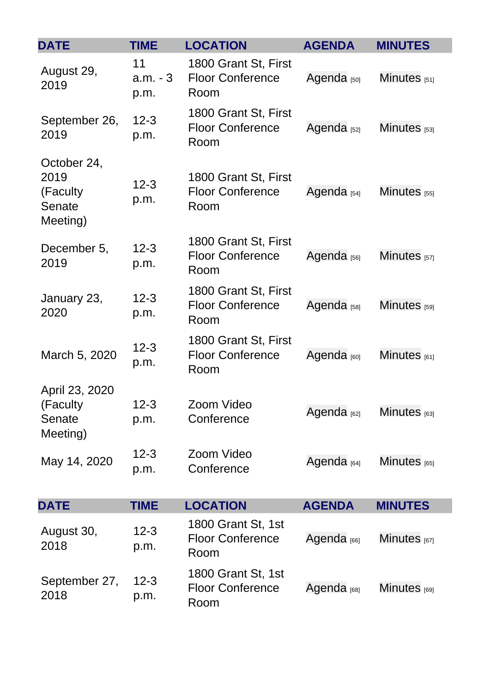<span id="page-4-0"></span>

| <b>DATE</b>                                            | <b>TIME</b>             | <b>LOCATION</b>                                         | <b>AGENDA</b>          | <b>MINUTES</b>    |
|--------------------------------------------------------|-------------------------|---------------------------------------------------------|------------------------|-------------------|
| August 29,<br>2019                                     | 11<br>$a.m. -3$<br>p.m. | 1800 Grant St, First<br><b>Floor Conference</b><br>Room | Agenda <sub>[50]</sub> | Minutes $[51]$    |
| September 26,<br>2019                                  | $12 - 3$<br>p.m.        | 1800 Grant St, First<br><b>Floor Conference</b><br>Room | Agenda <sub>[52]</sub> | Minutes $[53]$    |
| October 24,<br>2019<br>(Faculty)<br>Senate<br>Meeting) | $12 - 3$<br>p.m.        | 1800 Grant St, First<br><b>Floor Conference</b><br>Room | Agenda <sub>[54]</sub> | Minutes $_{[55]}$ |
| December 5,<br>2019                                    | $12 - 3$<br>p.m.        | 1800 Grant St, First<br><b>Floor Conference</b><br>Room | Agenda <sub>[56]</sub> | Minutes $[57]$    |
| January 23,<br>2020                                    | $12 - 3$<br>p.m.        | 1800 Grant St, First<br><b>Floor Conference</b><br>Room | Agenda <sub>[58]</sub> | Minutes $[59]$    |
| March 5, 2020                                          | $12 - 3$<br>p.m.        | 1800 Grant St, First<br><b>Floor Conference</b><br>Room | Agenda <sub>[60]</sub> | Minutes $[61]$    |
| April 23, 2020<br>(Faculty<br>Senate<br>Meeting)       | $12 - 3$<br>p.m.        | Zoom Video<br>Conference                                | Agenda <sub>[62]</sub> | Minutes $[63]$    |
| May 14, 2020                                           | $12 - 3$<br>p.m.        | Zoom Video<br>Conference                                | Agenda <sub>[64]</sub> | Minutes $[65]$    |
| <b>DATE</b>                                            | <b>TIME</b>             | <b>LOCATION</b>                                         | <b>AGENDA</b>          | <b>MINUTES</b>    |
| August 30,<br>2018                                     | $12 - 3$<br>p.m.        | 1800 Grant St, 1st<br><b>Floor Conference</b><br>Room   | Agenda <sub>[66]</sub> | Minutes $_{[67]}$ |
| September 27,<br>2018                                  | $12 - 3$<br>p.m.        | 1800 Grant St, 1st<br><b>Floor Conference</b><br>Room   | Agenda <sub>[68]</sub> | Minutes $[69]$    |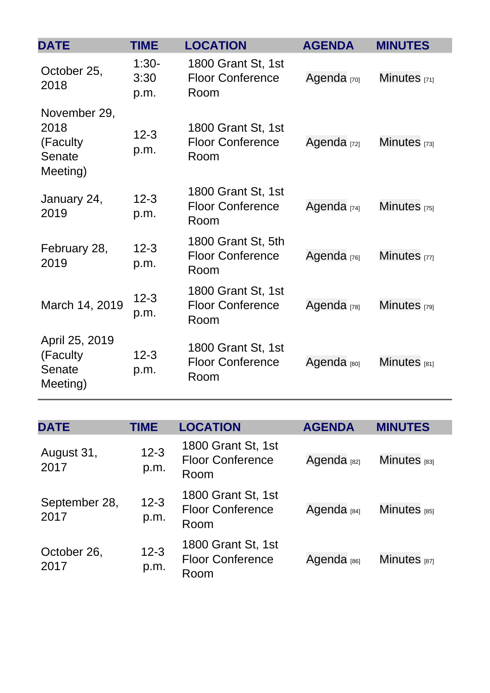| <b>DATE</b>                                             | <b>TIME</b>             | <b>LOCATION</b>                                       | <b>AGENDA</b>          | <b>MINUTES</b>    |
|---------------------------------------------------------|-------------------------|-------------------------------------------------------|------------------------|-------------------|
| October 25,<br>2018                                     | $1:30-$<br>3:30<br>p.m. | 1800 Grant St, 1st<br><b>Floor Conference</b><br>Room | Agenda <sub>[70]</sub> | Minutes $[71]$    |
| November 29,<br>2018<br>(Faculty)<br>Senate<br>Meeting) | $12 - 3$<br>p.m.        | 1800 Grant St, 1st<br><b>Floor Conference</b><br>Room | Agenda <sub>[72]</sub> | Minutes $[73]$    |
| January 24,<br>2019                                     | $12 - 3$<br>p.m.        | 1800 Grant St, 1st<br><b>Floor Conference</b><br>Room | Agenda <sub>[74]</sub> | Minutes $_{[75]}$ |
| February 28,<br>2019                                    | $12 - 3$<br>p.m.        | 1800 Grant St, 5th<br><b>Floor Conference</b><br>Room | Agenda <sub>[76]</sub> | Minutes [77]      |
| March 14, 2019                                          | $12 - 3$<br>p.m.        | 1800 Grant St, 1st<br><b>Floor Conference</b><br>Room | Agenda <sub>[78]</sub> | Minutes [79]      |
| April 25, 2019<br>(Faculty)<br>Senate<br>Meeting)       | $12 - 3$<br>p.m.        | 1800 Grant St, 1st<br><b>Floor Conference</b><br>Room | Agenda <sub>[80]</sub> | Minutes $_{[81]}$ |

| <b>DATE</b>           | TIME             | <b>LOCATION</b>                                       | <b>AGENDA</b>          | <b>MINUTES</b>          |
|-----------------------|------------------|-------------------------------------------------------|------------------------|-------------------------|
| August 31,<br>2017    | $12 - 3$<br>p.m. | 1800 Grant St, 1st<br><b>Floor Conference</b><br>Room | Agenda <sub>[82]</sub> | Minutes <sub>[83]</sub> |
| September 28,<br>2017 | $12 - 3$<br>p.m. | 1800 Grant St, 1st<br><b>Floor Conference</b><br>Room | Agenda <sub>[84]</sub> | Minutes $_{[85]}$       |
| October 26,<br>2017   | $12 - 3$<br>p.m. | 1800 Grant St, 1st<br><b>Floor Conference</b><br>Room | Agenda <sub>[86]</sub> | Minutes $_{[87]}$       |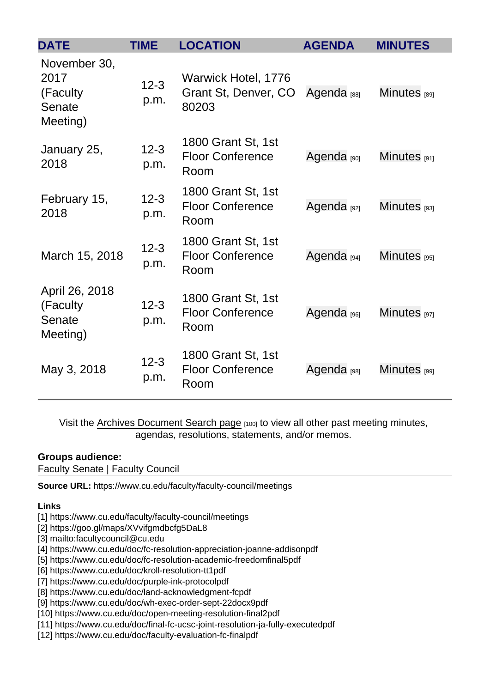| <b>DATE</b>                                             | <b>TIME</b>      | <b>LOCATION</b>                                       | <b>AGENDA</b>          | <b>MINUTES</b>   |
|---------------------------------------------------------|------------------|-------------------------------------------------------|------------------------|------------------|
| November 30,<br>2017<br>(Faculty)<br>Senate<br>Meeting) | $12 - 3$<br>p.m. | Warwick Hotel, 1776<br>Grant St, Denver, CO<br>80203  | Agenda <sub>[88]</sub> | Minutes [89]     |
| January 25,<br>2018                                     | $12 - 3$<br>p.m. | 1800 Grant St, 1st<br><b>Floor Conference</b><br>Room | Agenda [90]            | Minutes [91]     |
| February 15,<br>2018                                    | $12 - 3$<br>p.m. | 1800 Grant St, 1st<br><b>Floor Conference</b><br>Room | Agenda <sub>[92]</sub> | $Minutes$ [93]   |
| March 15, 2018                                          | $12 - 3$<br>p.m. | 1800 Grant St, 1st<br><b>Floor Conference</b><br>Room | Agenda <sub>[94]</sub> | $Minutes$ [95]   |
| April 26, 2018<br>(Faculty)<br>Senate<br>Meeting)       | $12 - 3$<br>p.m. | 1800 Grant St, 1st<br><b>Floor Conference</b><br>Room | Agenda [96]            | Minutes [97]     |
| May 3, 2018                                             | $12 - 3$<br>p.m. | 1800 Grant St, 1st<br><b>Floor Conference</b><br>Room | Agenda <sub>[98]</sub> | $Minutes_{[99]}$ |

Visit the [Archives Document Search page](https://www.cu.edu/faculty/docs) [100] to view all other past meeting minutes, agendas, resolutions, statements, and/or memos.

#### Groups audience:

Faculty Senate | Faculty Council

Source URL: https://www.cu.edu/faculty/faculty-council/meetings

Links

[1] https://www.cu.edu/faculty/faculty-council/meetings

[2] https://goo.gl/maps/XVvifgmdbcfg5DaL8

[3] mailto:facultycouncil@cu.edu

[4] https://www.cu.edu/doc/fc-resolution-appreciation-joanne-addisonpdf

[5] https://www.cu.edu/doc/fc-resolution-academic-freedomfinal5pdf

[6] https://www.cu.edu/doc/kroll-resolution-tt1pdf

[7] https://www.cu.edu/doc/purple-ink-protocolpdf

[8] https://www.cu.edu/doc/land-acknowledgment-fcpdf

[9] https://www.cu.edu/doc/wh-exec-order-sept-22docx9pdf

[10] https://www.cu.edu/doc/open-meeting-resolution-final2pdf

[11] https://www.cu.edu/doc/final-fc-ucsc-joint-resolution-ja-fully-executedpdf

[12] https://www.cu.edu/doc/faculty-evaluation-fc-finalpdf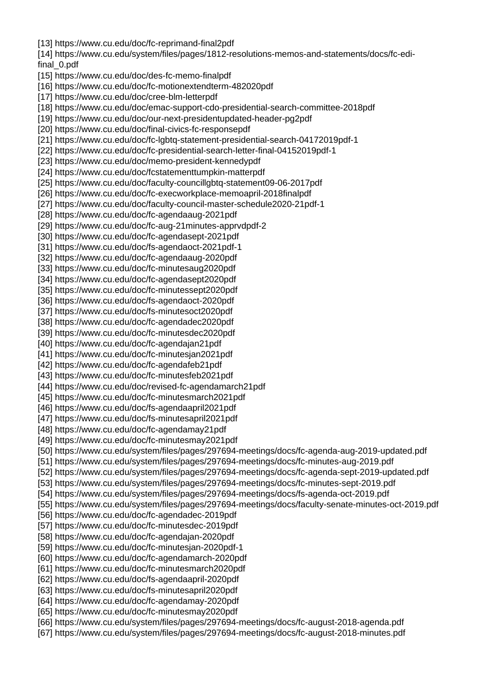[14] https://www.cu.edu/system/files/pages/1812-resolutions-memos-and-statements/docs/fc-edifinal\_0.pdf [15] https://www.cu.edu/doc/des-fc-memo-finalpdf [16] https://www.cu.edu/doc/fc-motionextendterm-482020pdf [17] https://www.cu.edu/doc/cree-blm-letterpdf [18] https://www.cu.edu/doc/emac-support-cdo-presidential-search-committee-2018pdf [19] https://www.cu.edu/doc/our-next-presidentupdated-header-pg2pdf [20] https://www.cu.edu/doc/final-civics-fc-responsepdf [21] https://www.cu.edu/doc/fc-lgbtq-statement-presidential-search-04172019pdf-1 [22] https://www.cu.edu/doc/fc-presidential-search-letter-final-04152019pdf-1 [23] https://www.cu.edu/doc/memo-president-kennedypdf [24] https://www.cu.edu/doc/fcstatementtumpkin-matterpdf [25] https://www.cu.edu/doc/faculty-councillgbtq-statement09-06-2017pdf [26] https://www.cu.edu/doc/fc-execworkplace-memoapril-2018finalpdf [27] https://www.cu.edu/doc/faculty-council-master-schedule2020-21pdf-1 [28] https://www.cu.edu/doc/fc-agendaaug-2021pdf [29] https://www.cu.edu/doc/fc-aug-21minutes-apprvdpdf-2 [30] https://www.cu.edu/doc/fc-agendasept-2021pdf [31] https://www.cu.edu/doc/fs-agendaoct-2021pdf-1 [32] https://www.cu.edu/doc/fc-agendaaug-2020pdf [33] https://www.cu.edu/doc/fc-minutesaug2020pdf [34] https://www.cu.edu/doc/fc-agendasept2020pdf [35] https://www.cu.edu/doc/fc-minutessept2020pdf [36] https://www.cu.edu/doc/fs-agendaoct-2020pdf [37] https://www.cu.edu/doc/fs-minutesoct2020pdf [38] https://www.cu.edu/doc/fc-agendadec2020pdf [39] https://www.cu.edu/doc/fc-minutesdec2020pdf [40] https://www.cu.edu/doc/fc-agendajan21pdf [41] https://www.cu.edu/doc/fc-minutesjan2021pdf [42] https://www.cu.edu/doc/fc-agendafeb21pdf [43] https://www.cu.edu/doc/fc-minutesfeb2021pdf [44] https://www.cu.edu/doc/revised-fc-agendamarch21pdf [45] https://www.cu.edu/doc/fc-minutesmarch2021pdf [46] https://www.cu.edu/doc/fs-agendaapril2021pdf [47] https://www.cu.edu/doc/fs-minutesapril2021pdf [48] https://www.cu.edu/doc/fc-agendamay21pdf [49] https://www.cu.edu/doc/fc-minutesmay2021pdf [50] https://www.cu.edu/system/files/pages/297694-meetings/docs/fc-agenda-aug-2019-updated.pdf [51] https://www.cu.edu/system/files/pages/297694-meetings/docs/fc-minutes-aug-2019.pdf [52] https://www.cu.edu/system/files/pages/297694-meetings/docs/fc-agenda-sept-2019-updated.pdf [53] https://www.cu.edu/system/files/pages/297694-meetings/docs/fc-minutes-sept-2019.pdf [54] https://www.cu.edu/system/files/pages/297694-meetings/docs/fs-agenda-oct-2019.pdf [55] https://www.cu.edu/system/files/pages/297694-meetings/docs/faculty-senate-minutes-oct-2019.pdf [56] https://www.cu.edu/doc/fc-agendadec-2019pdf [57] https://www.cu.edu/doc/fc-minutesdec-2019pdf [58] https://www.cu.edu/doc/fc-agendajan-2020pdf [59] https://www.cu.edu/doc/fc-minutesjan-2020pdf-1 [60] https://www.cu.edu/doc/fc-agendamarch-2020pdf [61] https://www.cu.edu/doc/fc-minutesmarch2020pdf [62] https://www.cu.edu/doc/fs-agendaapril-2020pdf [63] https://www.cu.edu/doc/fs-minutesapril2020pdf [64] https://www.cu.edu/doc/fc-agendamay-2020pdf [65] https://www.cu.edu/doc/fc-minutesmay2020pdf [66] https://www.cu.edu/system/files/pages/297694-meetings/docs/fc-august-2018-agenda.pdf [67] https://www.cu.edu/system/files/pages/297694-meetings/docs/fc-august-2018-minutes.pdf

[13] https://www.cu.edu/doc/fc-reprimand-final2pdf